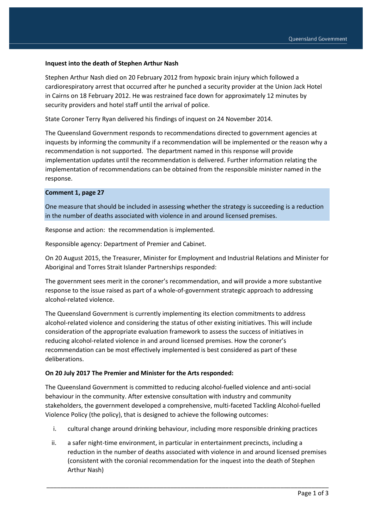## **Inquest into the death of Stephen Arthur Nash**

Stephen Arthur Nash died on 20 February 2012 from hypoxic brain injury which followed a cardiorespiratory arrest that occurred after he punched a security provider at the Union Jack Hotel in Cairns on 18 February 2012. He was restrained face down for approximately 12 minutes by security providers and hotel staff until the arrival of police.

State Coroner Terry Ryan delivered his findings of inquest on 24 November 2014.

The Queensland Government responds to recommendations directed to government agencies at inquests by informing the community if a recommendation will be implemented or the reason why a recommendation is not supported. The department named in this response will provide implementation updates until the recommendation is delivered. Further information relating the implementation of recommendations can be obtained from the responsible minister named in the response.

## **Comment 1, page 27**

One measure that should be included in assessing whether the strategy is succeeding is a reduction in the number of deaths associated with violence in and around licensed premises.

Response and action: the recommendation is implemented.

Responsible agency: Department of Premier and Cabinet.

On 20 August 2015, the Treasurer, Minister for Employment and Industrial Relations and Minister for Aboriginal and Torres Strait Islander Partnerships responded:

The government sees merit in the coroner's recommendation, and will provide a more substantive response to the issue raised as part of a whole-of-government strategic approach to addressing alcohol-related violence.

The Queensland Government is currently implementing its election commitments to address alcohol-related violence and considering the status of other existing initiatives. This will include consideration of the appropriate evaluation framework to assess the success of initiatives in reducing alcohol-related violence in and around licensed premises. How the coroner's recommendation can be most effectively implemented is best considered as part of these deliberations.

## **On 20 July 2017 The Premier and Minister for the Arts responded:**

The Queensland Government is committed to reducing alcohol-fuelled violence and anti-social behaviour in the community. After extensive consultation with industry and community stakeholders, the government developed a comprehensive, multi-faceted Tackling Alcohol-fuelled Violence Policy (the policy), that is designed to achieve the following outcomes:

- i. cultural change around drinking behaviour, including more responsible drinking practices
- ii. a safer night-time environment, in particular in entertainment precincts, including a reduction in the number of deaths associated with violence in and around licensed premises (consistent with the coronial recommendation for the inquest into the death of Stephen Arthur Nash)

\_\_\_\_\_\_\_\_\_\_\_\_\_\_\_\_\_\_\_\_\_\_\_\_\_\_\_\_\_\_\_\_\_\_\_\_\_\_\_\_\_\_\_\_\_\_\_\_\_\_\_\_\_\_\_\_\_\_\_\_\_\_\_\_\_\_\_\_\_\_\_\_\_\_\_\_\_\_\_\_\_\_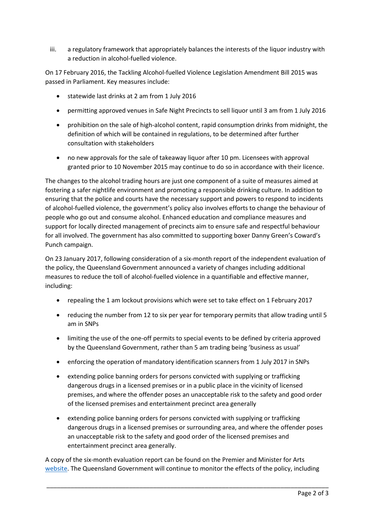iii. a regulatory framework that appropriately balances the interests of the liquor industry with a reduction in alcohol-fuelled violence.

On 17 February 2016, the Tackling Alcohol-fuelled Violence Legislation Amendment Bill 2015 was passed in Parliament. Key measures include:

- statewide last drinks at 2 am from 1 July 2016
- permitting approved venues in Safe Night Precincts to sell liquor until 3 am from 1 July 2016
- prohibition on the sale of high-alcohol content, rapid consumption drinks from midnight, the definition of which will be contained in regulations, to be determined after further consultation with stakeholders
- no new approvals for the sale of takeaway liquor after 10 pm. Licensees with approval granted prior to 10 November 2015 may continue to do so in accordance with their licence.

The changes to the alcohol trading hours are just one component of a suite of measures aimed at fostering a safer nightlife environment and promoting a responsible drinking culture. In addition to ensuring that the police and courts have the necessary support and powers to respond to incidents of alcohol-fuelled violence, the government's policy also involves efforts to change the behaviour of people who go out and consume alcohol. Enhanced education and compliance measures and support for locally directed management of precincts aim to ensure safe and respectful behaviour for all involved. The government has also committed to supporting boxer Danny Green's Coward's Punch campaign.

On 23 January 2017, following consideration of a six-month report of the independent evaluation of the policy, the Queensland Government announced a variety of changes including additional measures to reduce the toll of alcohol-fuelled violence in a quantifiable and effective manner, including:

- repealing the 1 am lockout provisions which were set to take effect on 1 February 2017
- reducing the number from 12 to six per year for temporary permits that allow trading until 5 am in SNPs
- limiting the use of the one-off permits to special events to be defined by criteria approved by the Queensland Government, rather than 5 am trading being 'business as usual'
- enforcing the operation of mandatory identification scanners from 1 July 2017 in SNPs
- extending police banning orders for persons convicted with supplying or trafficking dangerous drugs in a licensed premises or in a public place in the vicinity of licensed premises, and where the offender poses an unacceptable risk to the safety and good order of the licensed premises and entertainment precinct area generally
- extending police banning orders for persons convicted with supplying or trafficking dangerous drugs in a licensed premises or surrounding area, and where the offender poses an unacceptable risk to the safety and good order of the licensed premises and entertainment precinct area generally.

A copy of the six-month evaluation report can be found on the Premier and Minister for Arts [website.](http://www.thepremier.qld.gov.au/newsroom/alcohol-fuelled-violence-six-mth-report.aspx) The Queensland Government will continue to monitor the effects of the policy, including

\_\_\_\_\_\_\_\_\_\_\_\_\_\_\_\_\_\_\_\_\_\_\_\_\_\_\_\_\_\_\_\_\_\_\_\_\_\_\_\_\_\_\_\_\_\_\_\_\_\_\_\_\_\_\_\_\_\_\_\_\_\_\_\_\_\_\_\_\_\_\_\_\_\_\_\_\_\_\_\_\_\_